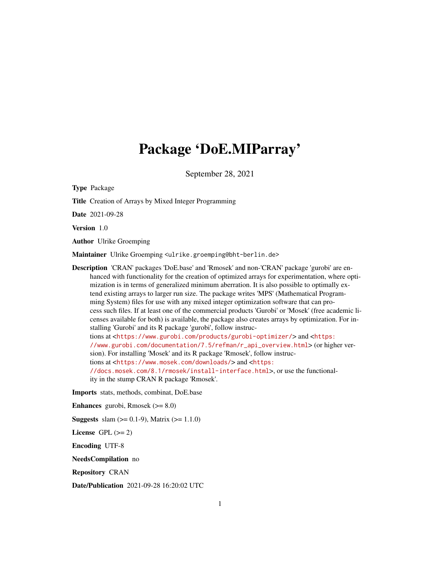# Package 'DoE.MIParray'

September 28, 2021

<span id="page-0-0"></span>

| <b>Type Package</b>                                                                                                                                                                                                                                                                                                                                                                                                                                                                                                                                                                                                                                                                                                                                                                                                                                                                                                                                                                                                                                                                                                                                                                                                                                            |
|----------------------------------------------------------------------------------------------------------------------------------------------------------------------------------------------------------------------------------------------------------------------------------------------------------------------------------------------------------------------------------------------------------------------------------------------------------------------------------------------------------------------------------------------------------------------------------------------------------------------------------------------------------------------------------------------------------------------------------------------------------------------------------------------------------------------------------------------------------------------------------------------------------------------------------------------------------------------------------------------------------------------------------------------------------------------------------------------------------------------------------------------------------------------------------------------------------------------------------------------------------------|
| <b>Title</b> Creation of Arrays by Mixed Integer Programming                                                                                                                                                                                                                                                                                                                                                                                                                                                                                                                                                                                                                                                                                                                                                                                                                                                                                                                                                                                                                                                                                                                                                                                                   |
| Date 2021-09-28                                                                                                                                                                                                                                                                                                                                                                                                                                                                                                                                                                                                                                                                                                                                                                                                                                                                                                                                                                                                                                                                                                                                                                                                                                                |
| Version 1.0                                                                                                                                                                                                                                                                                                                                                                                                                                                                                                                                                                                                                                                                                                                                                                                                                                                                                                                                                                                                                                                                                                                                                                                                                                                    |
| <b>Author</b> Ulrike Groemping                                                                                                                                                                                                                                                                                                                                                                                                                                                                                                                                                                                                                                                                                                                                                                                                                                                                                                                                                                                                                                                                                                                                                                                                                                 |
| Maintainer Ulrike Groemping <ulrike.groemping@bht-berlin.de></ulrike.groemping@bht-berlin.de>                                                                                                                                                                                                                                                                                                                                                                                                                                                                                                                                                                                                                                                                                                                                                                                                                                                                                                                                                                                                                                                                                                                                                                  |
| Description 'CRAN' packages 'DoE.base' and 'Rmosek' and non-'CRAN' package 'gurobi' are en-<br>hanced with functionality for the creation of optimized arrays for experimentation, where opti-<br>mization is in terms of generalized minimum aberration. It is also possible to optimally ex-<br>tend existing arrays to larger run size. The package writes 'MPS' (Mathematical Program-<br>ming System) files for use with any mixed integer optimization software that can pro-<br>cess such files. If at least one of the commercial products 'Gurobi' or 'Mosek' (free academic li-<br>censes available for both) is available, the package also creates arrays by optimization. For in-<br>stalling 'Gurobi' and its R package 'gurobi', follow instruc-<br>tions at <https: gurobi-optimizer="" products="" www.gurobi.com=""></https:> and <https:<br>//www.gurobi.com/documentation/7.5/refman/r_api_overview.html&gt;(or higher ver-<br/>sion). For installing 'Mosek' and its R package 'Rmosek', follow instruc-<br/>tions at <https: downloads="" www.mosek.com=""></https:> and <https:<br>//docs.mosek.com/8.1/rmosek/install-interface.html&gt;, or use the functional-<br/>ity in the stump CRAN R package 'Rmosek'.</https:<br></https:<br> |
| Imports stats, methods, combinat, DoE.base                                                                                                                                                                                                                                                                                                                                                                                                                                                                                                                                                                                                                                                                                                                                                                                                                                                                                                                                                                                                                                                                                                                                                                                                                     |
| <b>Enhances</b> gurobi, Rmosek $(>= 8.0)$                                                                                                                                                                                                                                                                                                                                                                                                                                                                                                                                                                                                                                                                                                                                                                                                                                                                                                                                                                                                                                                                                                                                                                                                                      |
| <b>Suggests</b> slam $(>= 0.1-9)$ , Matrix $(>= 1.1.0)$                                                                                                                                                                                                                                                                                                                                                                                                                                                                                                                                                                                                                                                                                                                                                                                                                                                                                                                                                                                                                                                                                                                                                                                                        |
| $\mathbf{r}$ and $\mathbf{r}$ and $\mathbf{r}$                                                                                                                                                                                                                                                                                                                                                                                                                                                                                                                                                                                                                                                                                                                                                                                                                                                                                                                                                                                                                                                                                                                                                                                                                 |

License GPL  $(>= 2)$ 

Encoding UTF-8

NeedsCompilation no

Repository CRAN

Date/Publication 2021-09-28 16:20:02 UTC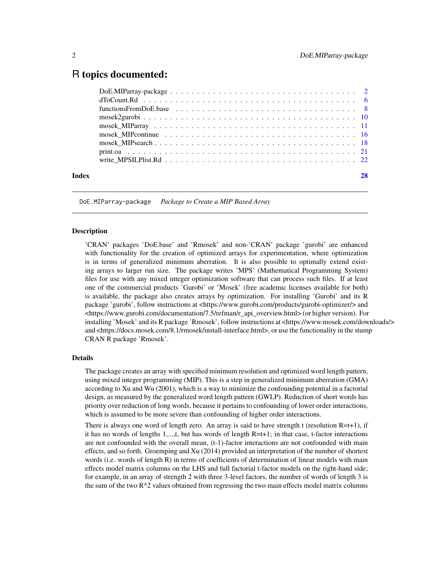# <span id="page-1-0"></span>R topics documented:

|       | mosek MIPcontinue $\ldots \ldots \ldots \ldots \ldots \ldots \ldots \ldots \ldots \ldots \ldots \ldots$ |  |
|-------|---------------------------------------------------------------------------------------------------------|--|
|       |                                                                                                         |  |
|       |                                                                                                         |  |
|       |                                                                                                         |  |
|       |                                                                                                         |  |
| Index |                                                                                                         |  |
|       |                                                                                                         |  |

DoE.MIParray-package *Package to Create a MIP Based Array*

# <span id="page-1-1"></span>**Description**

'CRAN' packages 'DoE.base' and 'Rmosek' and non-'CRAN' package 'gurobi' are enhanced with functionality for the creation of optimized arrays for experimentation, where optimization is in terms of generalized minimum aberration. It is also possible to optimally extend existing arrays to larger run size. The package writes 'MPS' (Mathematical Programming System) files for use with any mixed integer optimization software that can process such files. If at least one of the commercial products 'Gurobi' or 'Mosek' (free academic licenses available for both) is available, the package also creates arrays by optimization. For installing 'Gurobi' and its R package 'gurobi', follow instructions at <https://www.gurobi.com/products/gurobi-optimizer/> and <https://www.gurobi.com/documentation/7.5/refman/r\_api\_overview.html> (or higher version). For installing 'Mosek' and its R package 'Rmosek', follow instructions at <https://www.mosek.com/downloads/> and <https://docs.mosek.com/8.1/rmosek/install-interface.html>, or use the functionality in the stump CRAN R package 'Rmosek'.

#### Details

The package creates an array with specified minimum resolution and optimized word length pattern, using mixed integer programming (MIP). This is a step in generalized minimum aberration (GMA) according to Xu and Wu (2001), which is a way to minimize the confounding potential in a factorial design, as measured by the generalized word length pattern (GWLP). Reduction of short words has priority over reduction of long words, because it pertains to confounding of lower order interactions, which is assumed to be more severe than confounding of higher order interactions.

There is always one word of length zero. An array is said to have strength t (resolution  $R=t+1$ ), if it has no words of lengths 1,...,t, but has words of length  $R=t+1$ ; in that case, t-factor interactions are not confounded with the overall mean, (t-1)-factor interactions are not confounded with main effects, and so forth. Groemping and Xu (2014) provided an interpretation of the number of shortest words (i.e. words of length R) in terms of coefficients of determination of linear models with main effects model matrix columns on the LHS and full factorial t-factor models on the right-hand side; for example, in an array of strength 2 with three 3-level factors, the number of words of length 3 is the sum of the two  $R^2$  values obtained from regressing the two main effects model matrix columns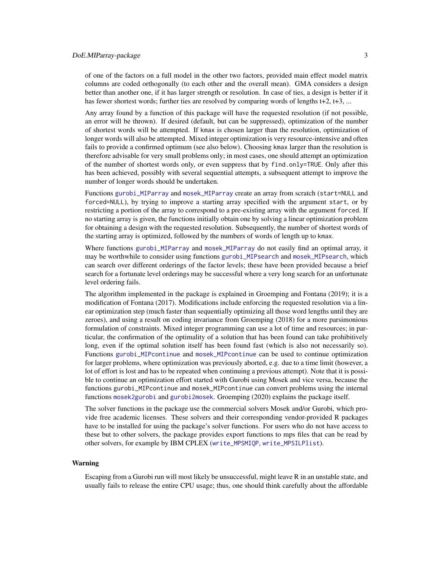# <span id="page-2-0"></span>DoE.MIParray-package 3

of one of the factors on a full model in the other two factors, provided main effect model matrix columns are coded orthogonally (to each other and the overall mean). GMA considers a design better than another one, if it has larger strength or resolution. In case of ties, a design is better if it has fewer shortest words; further ties are resolved by comparing words of lengths t+2, t+3, ...

Any array found by a function of this package will have the requested resolution (if not possible, an error will be thrown). If desired (default, but can be suppressed), optimization of the number of shortest words will be attempted. If kmax is chosen larger than the resolution, optimization of longer words will also be attempted. Mixed integer optimization is very resource-intensive and often fails to provide a confirmed optimum (see also below). Choosing kmax larger than the resolution is therefore advisable for very small problems only; in most cases, one should attempt an optimization of the number of shortest words only, or even suppress that by find.only=TRUE. Only after this has been achieved, possibly with several sequential attempts, a subsequent attempt to improve the number of longer words should be undertaken.

Functions [gurobi\\_MIParray](#page-10-1) and [mosek\\_MIParray](#page-10-2) create an array from scratch (start=NULL and forced=NULL), by trying to improve a starting array specified with the argument start, or by restricting a portion of the array to correspond to a pre-existing array with the argument forced. If no starting array is given, the functions initially obtain one by solving a linear optimization problem for obtaining a design with the requested resolution. Subsequently, the number of shortest words of the starting array is optimized, followed by the numbers of words of length up to kmax.

Where functions [gurobi\\_MIParray](#page-10-1) and [mosek\\_MIParray](#page-10-2) do not easily find an optimal array, it may be worthwhile to consider using functions [gurobi\\_MIPsearch](#page-17-1) and [mosek\\_MIPsearch](#page-17-2), which can search over different orderings of the factor levels; these have been provided because a brief search for a fortunate level orderings may be successful where a very long search for an unfortunate level ordering fails.

The algorithm implemented in the package is explained in Groemping and Fontana (2019); it is a modification of Fontana (2017). Modifications include enforcing the requested resolution via a linear optimization step (much faster than sequentially optimizing all those word lengths until they are zeroes), and using a result on coding invariance from Groemping (2018) for a more parsimonious formulation of constraints. Mixed integer programming can use a lot of time and resources; in particular, the confirmation of the optimality of a solution that has been found can take prohibitively long, even if the optimal solution itself has been found fast (which is also not necessarily so). Functions [gurobi\\_MIPcontinue](#page-15-1) and [mosek\\_MIPcontinue](#page-15-2) can be used to continue optimization for larger problems, where optimization was previously aborted, e.g. due to a time limit (however, a lot of effort is lost and has to be repeated when continuing a previous attempt). Note that it is possible to continue an optimization effort started with Gurobi using Mosek and vice versa, because the functions gurobi\_MIPcontinue and mosek\_MIPcontinue can convert problems using the internal functions [mosek2gurobi](#page-9-1) and [gurobi2mosek](#page-9-2). Groemping (2020) explains the package itself.

The solver functions in the package use the commercial solvers Mosek and/or Gurobi, which provide free academic licenses. These solvers and their corresponding vendor-provided R packages have to be installed for using the package's solver functions. For users who do not have access to these but to other solvers, the package provides export functions to mps files that can be read by other solvers, for example by IBM CPLEX ([write\\_MPSMIQP](#page-21-1), [write\\_MPSILPlist](#page-21-1)).

#### Warning

Escaping from a Gurobi run will most likely be unsuccessful, might leave R in an unstable state, and usually fails to release the entire CPU usage; thus, one should think carefully about the affordable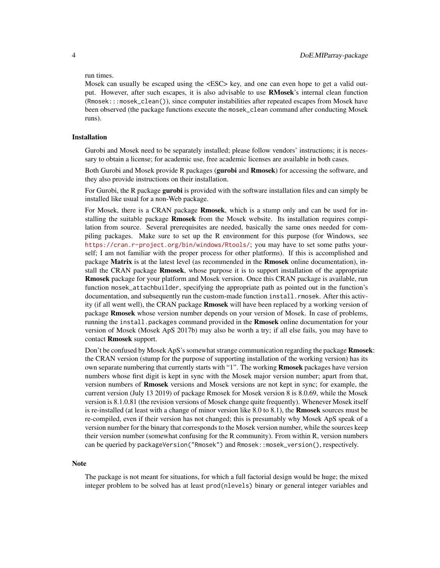#### run times.

Mosek can usually be escaped using the <ESC> key, and one can even hope to get a valid output. However, after such escapes, it is also advisable to use RMosek's internal clean function (Rmosek:::mosek\_clean()), since computer instabilities after repeated escapes from Mosek have been observed (the package functions execute the mosek\_clean command after conducting Mosek runs).

### Installation

Gurobi and Mosek need to be separately installed; please follow vendors' instructions; it is necessary to obtain a license; for academic use, free academic licenses are available in both cases.

Both Gurobi and Mosek provide R packages (**gurobi** and **Rmosek**) for accessing the software, and they also provide instructions on their installation.

For Gurobi, the R package **gurobi** is provided with the software installation files and can simply be installed like usual for a non-Web package.

For Mosek, there is a CRAN package **Rmosek**, which is a stump only and can be used for installing the suitable package **Rmosek** from the Mosek website. Its installation requires compilation from source. Several prerequisites are needed, basically the same ones needed for compiling packages. Make sure to set up the R environment for this purpose (for Windows, see <https://cran.r-project.org/bin/windows/Rtools/>; you may have to set some paths yourself; I am not familiar with the proper process for other platforms). If this is accomplished and package **Matrix** is at the latest level (as recommended in the **Rmosek** online documentation), install the CRAN package **Rmosek**, whose purpose it is to support installation of the appropriate Rmosek package for your platform and Mosek version. Once this CRAN package is available, run function mosek\_attachbuilder, specifying the appropriate path as pointed out in the function's documentation, and subsequently run the custom-made function install.rmosek. After this activity (if all went well), the CRAN package **Rmosek** will have been replaced by a working version of package Rmosek whose version number depends on your version of Mosek. In case of problems, running the install.packages command provided in the **Rmosek** online documentation for your version of Mosek (Mosek ApS 2017b) may also be worth a try; if all else fails, you may have to contact Rmosek support.

Don't be confused by Mosek ApS's somewhat strange communication regarding the package **Rmosek**: the CRAN version (stump for the purpose of supporting installation of the working version) has its own separate numbering that currently starts with "1". The working **Rmosek** packages have version numbers whose first digit is kept in sync with the Mosek major version number; apart from that, version numbers of Rmosek versions and Mosek versions are not kept in sync; for example, the current version (July 13 2019) of package Rmosek for Mosek version 8 is 8.0.69, while the Mosek version is 8.1.0.81 (the revision versions of Mosek change quite frequently). Whenever Mosek itself is re-installed (at least with a change of minor version like  $8.0$  to  $8.1$ ), the **Rmosek** sources must be re-compiled, even if their version has not changed; this is presumably why Mosek ApS speak of a version number for the binary that corresponds to the Mosek version number, while the sources keep their version number (somewhat confusing for the R community). From within R, version numbers can be queried by packageVersion("Rmosek") and Rmosek::mosek\_version(), respectively.

#### Note

The package is not meant for situations, for which a full factorial design would be huge; the mixed integer problem to be solved has at least prod(nlevels) binary or general integer variables and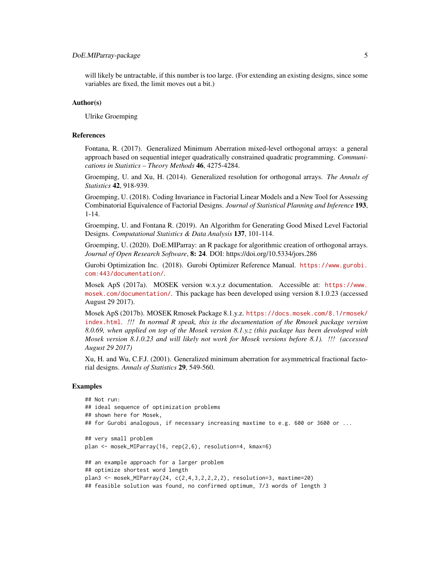# DoE.MIParray-package 5

will likely be untractable, if this number is too large. (For extending an existing designs, since some variables are fixed, the limit moves out a bit.)

#### Author(s)

Ulrike Groemping

#### References

Fontana, R. (2017). Generalized Minimum Aberration mixed-level orthogonal arrays: a general approach based on sequential integer quadratically constrained quadratic programming. *Communications in Statistics – Theory Methods* 46, 4275-4284.

Groemping, U. and Xu, H. (2014). Generalized resolution for orthogonal arrays. *The Annals of Statistics* 42, 918-939.

Groemping, U. (2018). Coding Invariance in Factorial Linear Models and a New Tool for Assessing Combinatorial Equivalence of Factorial Designs. *Journal of Statistical Planning and Inference* 193, 1-14.

Groemping, U. and Fontana R. (2019). An Algorithm for Generating Good Mixed Level Factorial Designs. *Computational Statistics & Data Analysis* 137, 101-114.

Groemping, U. (2020). DoE.MIParray: an R package for algorithmic creation of orthogonal arrays. *Journal of Open Research Software*, 8: 24. DOI: https://doi.org/10.5334/jors.286

Gurobi Optimization Inc. (2018). Gurobi Optimizer Reference Manual. [https://www.gurobi.](https://www.gurobi.com:443/documentation/) [com:443/documentation/](https://www.gurobi.com:443/documentation/).

Mosek ApS (2017a). MOSEK version w.x.y.z documentation. Accessible at: [https://www.](https://www.mosek.com/documentation/) [mosek.com/documentation/](https://www.mosek.com/documentation/). This package has been developed using version 8.1.0.23 (accessed August 29 2017).

Mosek ApS (2017b). MOSEK Rmosek Package 8.1.y.z. [https://docs.mosek.com/8.1/rmosek/](https://docs.mosek.com/8.1/rmosek/index.html) [index.html](https://docs.mosek.com/8.1/rmosek/index.html). *!!! In normal R speak, this is the documentation of the Rmosek package version 8.0.69, when applied on top of the Mosek version 8.1.y.z (this package has been devoloped with Mosek version 8.1.0.23 and will likely not work for Mosek versions before 8.1). !!! (accessed August 29 2017)*

Xu, H. and Wu, C.F.J. (2001). Generalized minimum aberration for asymmetrical fractional factorial designs. *Annals of Statistics* 29, 549-560.

#### Examples

```
## Not run:
## ideal sequence of optimization problems
## shown here for Mosek,
## for Gurobi analogous, if necessary increasing maxtime to e.g. 600 or 3600 or ...
## very small problem
plan <- mosek_MIParray(16, rep(2,6), resolution=4, kmax=6)
## an example approach for a larger problem
## optimize shortest word length
plan3 <- mosek_MIParray(24, c(2,4,3,2,2,2,2), resolution=3, maxtime=20)
## feasible solution was found, no confirmed optimum, 7/3 words of length 3
```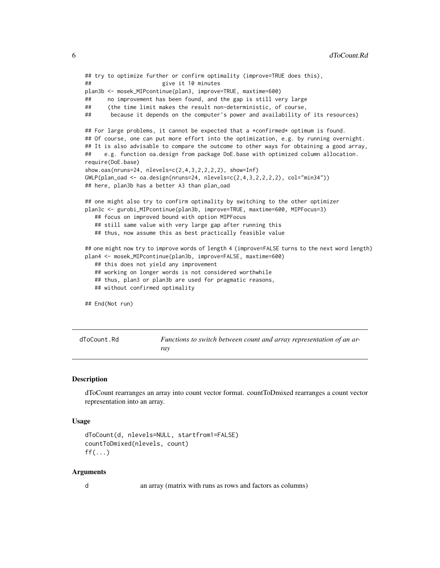```
## try to optimize further or confirm optimality (improve=TRUE does this),
## give it 10 minutes
plan3b <- mosek_MIPcontinue(plan3, improve=TRUE, maxtime=600)
## no improvement has been found, and the gap is still very large
## (the time limit makes the result non-deterministic, of course,
## because it depends on the computer's power and availability of its resources)
## For large problems, it cannot be expected that a *confirmed* optimum is found.
## Of course, one can put more effort into the optimization, e.g. by running overnight.
## It is also advisable to compare the outcome to other ways for obtaining a good array,
## e.g. function oa.design from package DoE.base with optimized column allocation.
require(DoE.base)
show.oas(nruns=24, nlevels=c(2,4,3,2,2,2,2), show=Inf)
GWLP(plan\_oad \leq oa.design(nruns=24, nlevels=c(2,4,3,2,2,2,2), col="min34"))## here, plan3b has a better A3 than plan_oad
## one might also try to confirm optimality by switching to the other optimizer
plan3c <- gurobi_MIPcontinue(plan3b, improve=TRUE, maxtime=600, MIPFocus=3)
  ## focus on improved bound with option MIPFocus
  ## still same value with very large gap after running this
  ## thus, now assume this as best practically feasible value
## one might now try to improve words of length 4 (improve=FALSE turns to the next word length)
plan4 <- mosek_MIPcontinue(plan3b, improve=FALSE, maxtime=600)
  ## this does not yield any improvement
  ## working on longer words is not considered worthwhile
  ## thus, plan3 or plan3b are used for pragmatic reasons,
  ## without confirmed optimality
## End(Not run)
```

```
dToCount.Rd Functions to switch between count and array representation of an ar-
                       ray
```
# <span id="page-5-1"></span>Description

dToCount rearranges an array into count vector format. countToDmixed rearranges a count vector representation into an array.

#### Usage

```
dToCount(d, nlevels=NULL, startfrom1=FALSE)
countToDmixed(nlevels, count)
ff(\ldots)
```
#### Arguments

d an array (matrix with runs as rows and factors as columns)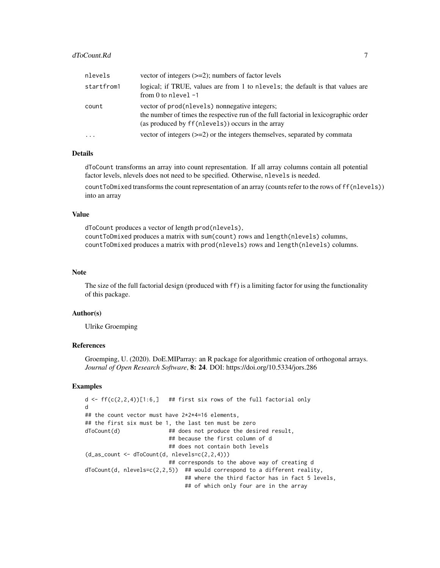| nlevels    | vector of integers $(\geq=2)$ ; numbers of factor levels                                                                                                                                 |
|------------|------------------------------------------------------------------------------------------------------------------------------------------------------------------------------------------|
| startfrom1 | logical; if TRUE, values are from 1 to n levels; the default is that values are<br>from 0 to nlevel $-1$                                                                                 |
| count      | vector of prod(nlevels) nonnegative integers;<br>the number of times the respective run of the full factorial in lexicographic order<br>(as produced by ff(nlevels)) occurs in the array |
| $\ddotsc$  | vector of integers $(\geq=2)$ or the integers themselves, separated by commata                                                                                                           |

# Details

dToCount transforms an array into count representation. If all array columns contain all potential factor levels, nlevels does not need to be specified. Otherwise, nlevels is needed.

countToDmixed transforms the count representation of an array (counts refer to the rows of ff(nlevels)) into an array

# Value

dToCount produces a vector of length prod(nlevels), countToDmixed produces a matrix with sum(count) rows and length(nlevels) columns, countToDmixed produces a matrix with prod(nlevels) rows and length(nlevels) columns.

#### Note

The size of the full factorial design (produced with ff) is a limiting factor for using the functionality of this package.

#### Author(s)

Ulrike Groemping

# References

Groemping, U. (2020). DoE.MIParray: an R package for algorithmic creation of orthogonal arrays. *Journal of Open Research Software*, 8: 24. DOI: https://doi.org/10.5334/jors.286

### Examples

```
d \leftarrow ff(c(2,2,4))[1:6,] ## first six rows of the full factorial only
d
## the count vector must have 2*2*4=16 elements,
## the first six must be 1, the last ten must be zero
dToCount(d) ## does not produce the desired result,
                          ## because the first column of d
                          ## does not contain both levels
(d_as_count \leftarrow dToCount(d, nlevels=c(2,2,4)))## corresponds to the above way of creating d
dToCount(d, nlevels=c(2, 2, 5)) ## would correspond to a different reality,
                               ## where the third factor has in fact 5 levels,
                               ## of which only four are in the array
```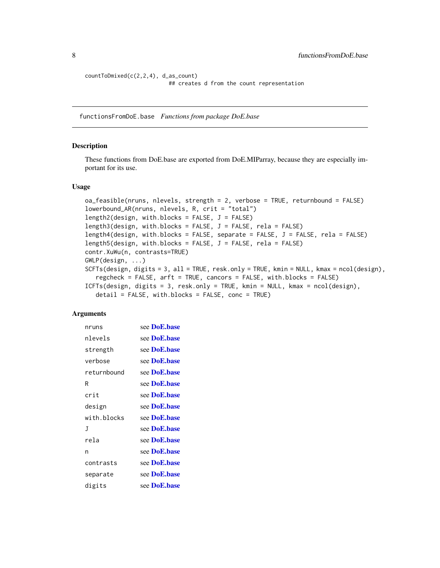```
countToDmixed(c(2,2,4), d_as_count)
                          ## creates d from the count representation
```
functionsFromDoE.base *Functions from package DoE.base*

# <span id="page-7-1"></span>Description

These functions from DoE.base are exported from DoE.MIParray, because they are especially important for its use.

#### Usage

```
oa_feasible(nruns, nlevels, strength = 2, verbose = TRUE, returnbound = FALSE)
lowerbound_AR(nruns, nlevels, R, crit = "total")
length2(design, with.blocks = FALSE, J = FALSE)
length3(design, with.blocks = FALSE, J = FALSE, rela = FALSE)
length4(design, with.blocks = FALSE, separate = FALSE, J = FALSE, rela = FALSE)
length5(design, with.blocks = FALSE, J = FALSE, rela = FALSE)
contr.XuWu(n, contrasts=TRUE)
GWLP(design, ...)
SCFTs(design, digits = 3, all = TRUE, resk.only = TRUE, kmin = NULL, kmax = ncol(design),
   regcheck = FALSE, arft = TRUE, cancors = FALSE, with.blocks = FALSE)
ICFTs(design, digits = 3, resk.only = TRUE, kmin = NULL, kmax = ncol(design),
   detail = FALSE, with.blocks = FALSE, conc = TRUE)
```
#### **Arguments**

| nruns       | see DoE.base |
|-------------|--------------|
| nlevels     | see DoE.base |
| strength    | see DoE.base |
| verbose     | see DoE.base |
| returnbound | see DoE.base |
| R           | see DoE.base |
| crit        | see DoE.base |
| design      | see DoE.base |
| with blocks | see DoE.base |
| J           | see DoE.base |
| rela        | see DoE.base |
| n           | see DoE.base |
| contrasts   | see DoE.base |
| separate    | see DoE.base |
| digits      | see DoE.base |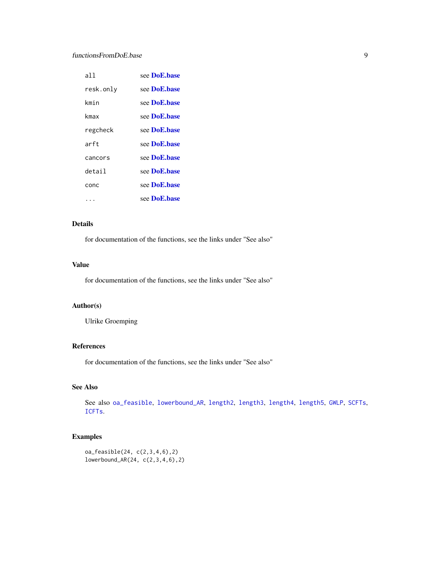# <span id="page-8-0"></span>functionsFromDoE.base 9

| all       | see <b>DoE.base</b>  |
|-----------|----------------------|
| resk.only | see <b>DoE.base</b>  |
| kmin      | see <b>DoE.base</b>  |
| kmax      | see <b>DoE.base</b>  |
| regcheck  | see <b>DoE.base</b>  |
| arft      | see <b>DoE.base</b>  |
| cancors   | see <b>DoE</b> .hase |
| detail    | see <b>DoE.base</b>  |
| conc      | see DoE.base         |
|           | see <b>DoE.base</b>  |

# Details

for documentation of the functions, see the links under "See also"

# Value

for documentation of the functions, see the links under "See also"

# Author(s)

Ulrike Groemping

# References

for documentation of the functions, see the links under "See also"

# See Also

See also [oa\\_feasible](#page-7-1), [lowerbound\\_AR](#page-7-1), [length2](#page-7-1), [length3](#page-7-1), [length4](#page-7-1), [length5](#page-7-1), [GWLP](#page-7-1), [SCFTs](#page-7-1), [ICFTs](#page-7-1).

# Examples

```
oa_feasible(24, c(2,3,4,6),2)
lowerbound_AR(24, c(2,3,4,6),2)
```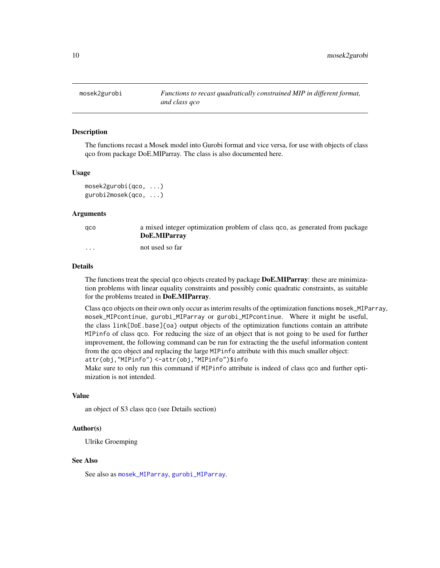<span id="page-9-1"></span><span id="page-9-0"></span>

#### <span id="page-9-2"></span>Description

The functions recast a Mosek model into Gurobi format and vice versa, for use with objects of class qco from package DoE.MIParray. The class is also documented here.

### Usage

```
mosek2gurobi(qco, ...)
gurobi2mosek(qco, ...)
```
#### Arguments

| aco      | a mixed integer optimization problem of class qco, as generated from package<br>DoE.MIParray |
|----------|----------------------------------------------------------------------------------------------|
| $\cdots$ | not used so far                                                                              |

#### Details

The functions treat the special qco objects created by package **DoE.MIParray**: these are minimization problems with linear equality constraints and possibly conic quadratic constraints, as suitable for the problems treated in DoE.MIParray.

Class qco objects on their own only occur as interim results of the optimization functions mosek\_MIParray, mosek\_MIPcontinue, gurobi\_MIParray or gurobi\_MIPcontinue. Where it might be useful, the class link[DoE.base]{oa} output objects of the optimization functions contain an attribute MIPinfo of class qco. For reducing the size of an object that is not going to be used for further improvement, the following command can be run for extracting the the useful information content from the qco object and replacing the large MIPinfo attribute with this much smaller object: attr(obj,"MIPinfo") <-attr(obj,"MIPinfo")\$info

Make sure to only run this command if MIPinfo attribute is indeed of class qco and further optimization is not intended.

#### Value

an object of S3 class qco (see Details section)

# Author(s)

Ulrike Groemping

# See Also

See also as [mosek\\_MIParray](#page-10-2), [gurobi\\_MIParray](#page-10-1).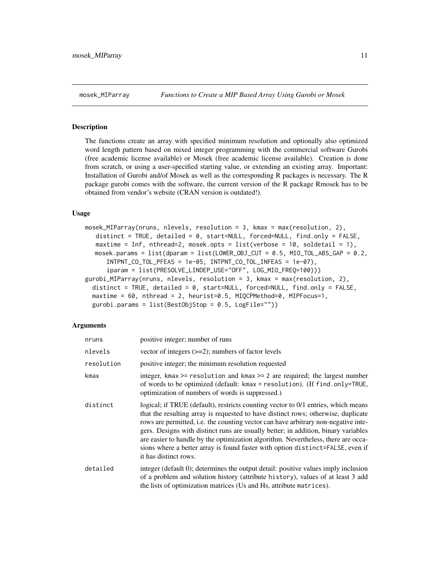<span id="page-10-2"></span><span id="page-10-0"></span>

#### <span id="page-10-1"></span>Description

The functions create an array with specified minimum resolution and optionally also optimized word length pattern based on mixed integer programming with the commercial software Gurobi (free academic license available) or Mosek (free academic license available). Creation is done from scratch, or using a user-specified starting value, or extending an existing array. Important: Installation of Gurobi and/of Mosek as well as the corresponding R packages is necessary. The R package gurobi comes with the software, the current version of the R package Rmosek has to be obtained from vendor's website (CRAN version is outdated!).

#### Usage

```
mosek_MIParray(nruns, nlevels, resolution = 3, kmax = max(resolution, 2),
   distinct = TRUE, detailed = 0, start=NULL, forced=NULL, find.only = FALSE,
   maxtime = Inf, nthread=2, mosek.opts = list(verbose = 10, soldetail = 1),
  mosek.params = list (dparam = list (LOWER_OBJ_CUT = 0.5, MIO_TOL_ABS_GAP = 0.2,
     INTPNT_CO_TOL_PFEAS = 1e-05, INTPNT_CO_TOL_INFEAS = 1e-07),
      iparam = list(PRESOLVE_LINDEP_USE="OFF", LOG_MIO_FREQ=100)))
gurobi_MIParray(nruns, nlevels, resolution = 3, kmax = max(resolution, 2),
  distinct = TRUE, detailed = 0, start=NULL, forced=NULL, find.only = FALSE,
 maxtime = 60, nthread = 2, heurist=0.5, MIQCPMethod=0, MIPFocus=1,
 gurobi.params = list(BestObjStop = 0.5, LogFile="))
```
## Arguments

| nruns      | positive integer; number of runs                                                                                                                                                                                                                                                                                                                                                                                                                                                                                                                   |
|------------|----------------------------------------------------------------------------------------------------------------------------------------------------------------------------------------------------------------------------------------------------------------------------------------------------------------------------------------------------------------------------------------------------------------------------------------------------------------------------------------------------------------------------------------------------|
| nlevels    | vector of integers $(\geq=2)$ ; numbers of factor levels                                                                                                                                                                                                                                                                                                                                                                                                                                                                                           |
| resolution | positive integer; the minimum resolution requested                                                                                                                                                                                                                                                                                                                                                                                                                                                                                                 |
| kmax       | integer, kmax $>=$ resolution and kmax $>=$ 2 are required; the largest number<br>of words to be optimized (default: kmax = resolution). (If find.only=TRUE,<br>optimization of numbers of words is suppressed.)                                                                                                                                                                                                                                                                                                                                   |
| distinct   | logical; if TRUE (default), restricts counting vector to 0/1 entries, which means<br>that the resulting array is requested to have distinct rows; otherwise, duplicate<br>rows are permitted, i.e. the counting vector can have arbitrary non-negative inte-<br>gers. Designs with distinct runs are usually better; in addition, binary variables<br>are easier to handle by the optimization algorithm. Nevertheless, there are occa-<br>sions where a better array is found faster with option distinct=FALSE, even if<br>it has distinct rows. |
| detailed   | integer (default 0); determines the output detail: positive values imply inclusion<br>of a problem and solution history (attribute history), values of at least 3 add<br>the lists of optimization matrices (Us and Hs, attribute matrices).                                                                                                                                                                                                                                                                                                       |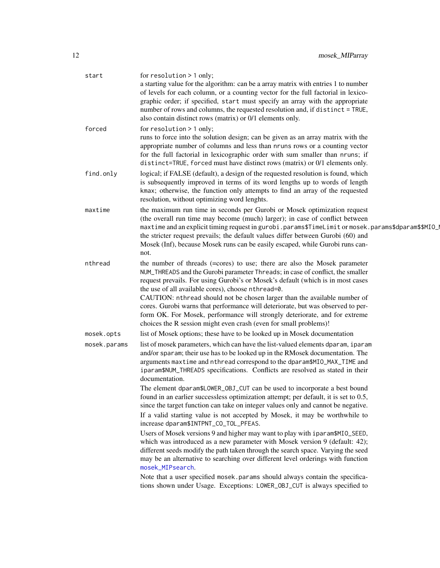<span id="page-11-0"></span>

| start        | for $resolution > 1$ only;<br>a starting value for the algorithm: can be a array matrix with entries 1 to number<br>of levels for each column, or a counting vector for the full factorial in lexico-<br>graphic order; if specified, start must specify an array with the appropriate<br>number of rows and columns, the requested resolution and, if distinct = TRUE,<br>also contain distinct rows (matrix) or 0/1 elements only.                                                                                                                                                                                                                                                                                                                                                                                                                                                                                                                                                                                                                                                         |
|--------------|----------------------------------------------------------------------------------------------------------------------------------------------------------------------------------------------------------------------------------------------------------------------------------------------------------------------------------------------------------------------------------------------------------------------------------------------------------------------------------------------------------------------------------------------------------------------------------------------------------------------------------------------------------------------------------------------------------------------------------------------------------------------------------------------------------------------------------------------------------------------------------------------------------------------------------------------------------------------------------------------------------------------------------------------------------------------------------------------|
| forced       | for $resolution > 1$ only;<br>runs to force into the solution design; can be given as an array matrix with the<br>appropriate number of columns and less than nruns rows or a counting vector<br>for the full factorial in lexicographic order with sum smaller than nruns; if<br>distinct=TRUE, forced must have distinct rows (matrix) or 0/1 elements only.                                                                                                                                                                                                                                                                                                                                                                                                                                                                                                                                                                                                                                                                                                                               |
| find.only    | logical; if FALSE (default), a design of the requested resolution is found, which<br>is subsequently improved in terms of its word lengths up to words of length<br>kmax; otherwise, the function only attempts to find an array of the requested<br>resolution, without optimizing word lenghts.                                                                                                                                                                                                                                                                                                                                                                                                                                                                                                                                                                                                                                                                                                                                                                                            |
| maxtime      | the maximum run time in seconds per Gurobi or Mosek optimization request<br>(the overall run time may become (much) larger); in case of conflict between<br>maxtime and an explicit timing request in gurobi.params\$TimeLimit or mosek.params\$dparam\$\$MIO_<br>the stricter request prevails; the default values differ between Gurobi (60) and<br>Mosek (Inf), because Mosek runs can be easily escaped, while Gurobi runs can-<br>not.                                                                                                                                                                                                                                                                                                                                                                                                                                                                                                                                                                                                                                                  |
| nthread      | the number of threads (=cores) to use; there are also the Mosek parameter<br>NUM_THREADS and the Gurobi parameter Threads; in case of conflict, the smaller<br>request prevails. For using Gurobi's or Mosek's default (which is in most cases<br>the use of all available cores), choose nthread=0.<br>CAUTION: nthread should not be chosen larger than the available number of<br>cores. Gurobi warns that performance will deteriorate, but was observed to per-<br>form OK. For Mosek, performance will strongly deteriorate, and for extreme<br>choices the R session might even crash (even for small problems)!                                                                                                                                                                                                                                                                                                                                                                                                                                                                      |
| mosek.opts   | list of Mosek options; these have to be looked up in Mosek documentation                                                                                                                                                                                                                                                                                                                                                                                                                                                                                                                                                                                                                                                                                                                                                                                                                                                                                                                                                                                                                     |
| mosek.params | list of mosek parameters, which can have the list-valued elements dparam, iparam<br>and/or sparam; their use has to be looked up in the RMosek documentation. The<br>arguments maxtime and nthread correspond to the dparam\$MIO_MAX_TIME and<br>iparam\$NUM_THREADS specifications. Conflicts are resolved as stated in their<br>documentation.<br>The element dparam\$LOWER_OBJ_CUT can be used to incorporate a best bound<br>found in an earlier successless optimization attempt; per default, it is set to 0.5,<br>since the target function can take on integer values only and cannot be negative.<br>If a valid starting value is not accepted by Mosek, it may be worthwhile to<br>increase dparam\$INTPNT_CO_TOL_PFEAS.<br>Users of Mosek versions 9 and higher may want to play with iparam\$MIO_SEED,<br>which was introduced as a new parameter with Mosek version 9 (default: 42);<br>different seeds modify the path taken through the search space. Varying the seed<br>may be an alternative to searching over different level orderings with function<br>mosek_MIPsearch. |
|              | Note that a user specified mosek. params should always contain the specifica-<br>tions shown under Usage. Exceptions: LOWER_OBJ_CUT is always specified to                                                                                                                                                                                                                                                                                                                                                                                                                                                                                                                                                                                                                                                                                                                                                                                                                                                                                                                                   |
|              |                                                                                                                                                                                                                                                                                                                                                                                                                                                                                                                                                                                                                                                                                                                                                                                                                                                                                                                                                                                                                                                                                              |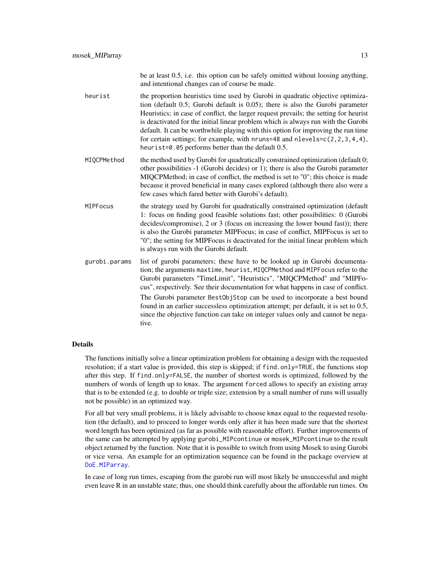be at least 0.5, i.e. this option can be safely omitted without loosing anything, and intentional changes can of course be made.

- <span id="page-12-0"></span>heurist the proportion heuristics time used by Gurobi in quadratic objective optimization (default 0.5; Gurobi default is 0.05); there is also the Gurobi parameter Heuristics; in case of conflict, the larger request prevails; the setting for heurist is deactivated for the initial linear problem which is always run with the Gurobi default. It can be worthwhile playing with this option for improving the run time for certain settings; for example, with nruns=48 and nlevels= $c(2,2,3,4,4)$ , heurist=0.05 performs better than the default 0.5.
- MIQCPMethod the method used by Gurobi for quadratically constrained optimization (default 0; other possibilities -1 (Gurobi decides) or 1); there is also the Gurobi parameter MIQCPMethod; in case of conflict, the method is set to "0"; this choice is made because it proved beneficial in many cases explored (although there also were a few cases which fared better with Gurobi's default).
- MIPFocus the strategy used by Gurobi for quadratically constrained optimization (default 1: focus on finding good feasible solutions fast; other possibilities: 0 (Gurobi decides/compromise), 2 or 3 (focus on increasing the lower bound fast)); there is also the Gurobi parameter MIPFocus; in case of conflict, MIPFocus is set to "0"; the setting for MIPFocus is deactivated for the initial linear problem which is always run with the Gurobi default.
- gurobi.params list of gurobi parameters; these have to be looked up in Gurobi documentation; the arguments maxtime, heurist, MIQCPMethod and MIPFocus refer to the Gurobi parameters "TimeLimit", "Heuristics", "MIQCPMethod" and "MIPFocus", respectively. See their documentation for what happens in case of conflict. The Gurobi parameter BestObjStop can be used to incorporate a best bound found in an earlier successless optimization attempt; per default, it is set to 0.5, since the objective function can take on integer values only and cannot be negative.

#### Details

The functions initially solve a linear optimization problem for obtaining a design with the requested resolution; if a start value is provided, this step is skipped; if find.only=TRUE, the functions stop after this step. If find.only=FALSE, the number of shortest words is optimized, followed by the numbers of words of length up to kmax. The argument forced allows to specify an existing array that is to be extended (e.g. to double or triple size; extension by a small number of runs will usually not be possible) in an optimized way.

For all but very small problems, it is likely advisable to choose kmax equal to the requested resolution (the default), and to proceed to longer words only after it has been made sure that the shortest word length has been optimized (as far as possible with reasonable effort). Further improvements of the same can be attempted by applying gurobi\_MIPcontinue or mosek\_MIPcontinue to the result object returned by the function. Note that it is possible to switch from using Mosek to using Gurobi or vice versa. An example for an optimization sequence can be found in the package overview at [DoE.MIParray](#page-1-1).

In case of long run times, escaping from the gurobi run will most likely be unsuccessful and might even leave R in an unstable state; thus, one should think carefully about the affordable run times. On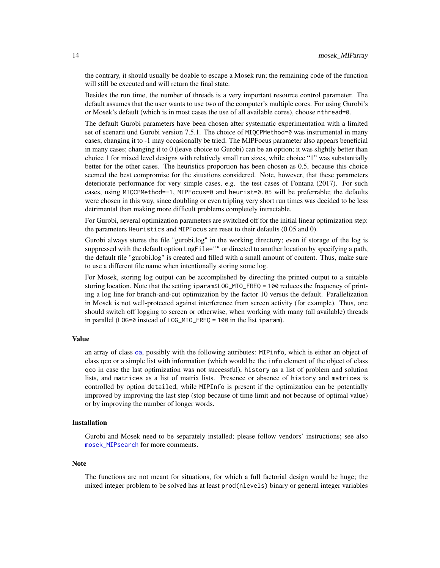<span id="page-13-0"></span>the contrary, it should usually be doable to escape a Mosek run; the remaining code of the function will still be executed and will return the final state.

Besides the run time, the number of threads is a very important resource control parameter. The default assumes that the user wants to use two of the computer's multiple cores. For using Gurobi's or Mosek's default (which is in most cases the use of all available cores), choose nthread=0.

The default Gurobi parameters have been chosen after systematic experimentation with a limited set of scenarii und Gurobi version 7.5.1. The choice of MIQCPMethod=0 was instrumental in many cases; changing it to -1 may occasionally be tried. The MIPFocus parameter also appears beneficial in many cases; changing it to 0 (leave choice to Gurobi) can be an option; it was slightly better than choice 1 for mixed level designs with relatively small run sizes, while choice "1" was substantially better for the other cases. The heuristics proportion has been chosen as 0.5, because this choice seemed the best compromise for the situations considered. Note, however, that these parameters deteriorate performance for very simple cases, e.g. the test cases of Fontana (2017). For such cases, using MIQCPMethod=-1, MIPFocus=0 and heurist=0.05 will be preferrable; the defaults were chosen in this way, since doubling or even tripling very short run times was decided to be less detrimental than making more difficult problems completely intractable.

For Gurobi, several optimization parameters are switched off for the initial linear optimization step: the parameters Heuristics and MIPFocus are reset to their defaults (0.05 and 0).

Gurobi always stores the file "gurobi.log" in the working directory; even if storage of the log is suppressed with the default option  $LogFile=""$  or directed to another location by specifying a path, the default file "gurobi.log" is created and filled with a small amount of content. Thus, make sure to use a different file name when intentionally storing some log.

For Mosek, storing log output can be accomplished by directing the printed output to a suitable storing location. Note that the setting iparam\$LOG\_MIO\_FREQ = 100 reduces the frequency of printing a log line for branch-and-cut optimization by the factor 10 versus the default. Parallelization in Mosek is not well-protected against interference from screen activity (for example). Thus, one should switch off logging to screen or otherwise, when working with many (all available) threads in parallel (LOG=0 instead of LOG\_MIO\_FREQ = 100 in the list iparam).

# Value

an array of class [oa](#page-0-0), possibly with the following attributes: MIPinfo, which is either an object of class qco or a simple list with information (which would be the info element of the object of class qco in case the last optimization was not successful), history as a list of problem and solution lists, and matrices as a list of matrix lists. Presence or absence of history and matrices is controlled by option detailed, while MIPInfo is present if the optimization can be potentially improved by improving the last step (stop because of time limit and not because of optimal value) or by improving the number of longer words.

# Installation

Gurobi and Mosek need to be separately installed; please follow vendors' instructions; see also [mosek\\_MIPsearch](#page-17-2) for more comments.

#### Note

The functions are not meant for situations, for which a full factorial design would be huge; the mixed integer problem to be solved has at least prod(nlevels) binary or general integer variables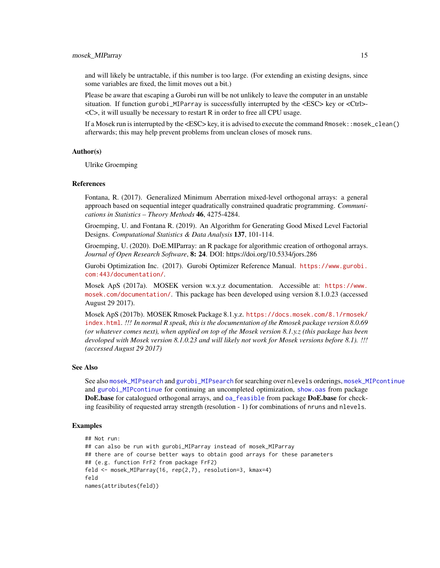<span id="page-14-0"></span>and will likely be untractable, if this number is too large. (For extending an existing designs, since some variables are fixed, the limit moves out a bit.)

Please be aware that escaping a Gurobi run will be not unlikely to leave the computer in an unstable situation. If function gurobi\_MIParray is successfully interrupted by the  $\langle ESC \rangle$  key or  $\langle Ctr|$ . <C>, it will usually be necessary to restart R in order to free all CPU usage.

If a Mosek run is interrupted by the <ESC> key, it is advised to execute the command Rmosek::mosek\_clean() afterwards; this may help prevent problems from unclean closes of mosek runs.

#### Author(s)

Ulrike Groemping

#### References

Fontana, R. (2017). Generalized Minimum Aberration mixed-level orthogonal arrays: a general approach based on sequential integer quadratically constrained quadratic programming. *Communications in Statistics – Theory Methods* 46, 4275-4284.

Groemping, U. and Fontana R. (2019). An Algorithm for Generating Good Mixed Level Factorial Designs. *Computational Statistics & Data Analysis* 137, 101-114.

Groemping, U. (2020). DoE.MIParray: an R package for algorithmic creation of orthogonal arrays. *Journal of Open Research Software*, 8: 24. DOI: https://doi.org/10.5334/jors.286

Gurobi Optimization Inc. (2017). Gurobi Optimizer Reference Manual. [https://www.gurobi.](https://www.gurobi.com:443/documentation/) [com:443/documentation/](https://www.gurobi.com:443/documentation/).

Mosek ApS (2017a). MOSEK version w.x.y.z documentation. Accessible at: [https://www.](https://www.mosek.com/documentation/) [mosek.com/documentation/](https://www.mosek.com/documentation/). This package has been developed using version 8.1.0.23 (accessed August 29 2017).

Mosek ApS (2017b). MOSEK Rmosek Package 8.1.y.z. [https://docs.mosek.com/8.1/rmosek/](https://docs.mosek.com/8.1/rmosek/index.html) [index.html](https://docs.mosek.com/8.1/rmosek/index.html). *!!! In normal R speak, this is the documentation of the Rmosek package version 8.0.69 (or whatever comes next), when applied on top of the Mosek version 8.1.y.z (this package has been devoloped with Mosek version 8.1.0.23 and will likely not work for Mosek versions before 8.1). !!! (accessed August 29 2017)*

### See Also

See also [mosek\\_MIPsearch](#page-17-2) and [gurobi\\_MIPsearch](#page-17-1) for searching over nlevels orderings, [mosek\\_MIPcontinue](#page-15-2) and [gurobi\\_MIPcontinue](#page-15-1) for continuing an uncompleted optimization, [show.oas](#page-0-0) from package DoE.base for catalogued orthogonal arrays, and [oa\\_feasible](#page-7-1) from package DoE.base for checking feasibility of requested array strength (resolution - 1) for combinations of nruns and nlevels.

# Examples

```
## Not run:
## can also be run with gurobi_MIParray instead of mosek_MIParray
## there are of course better ways to obtain good arrays for these parameters
## (e.g. function FrF2 from package FrF2)
feld <- mosek_MIParray(16, rep(2,7), resolution=3, kmax=4)
feld
names(attributes(feld))
```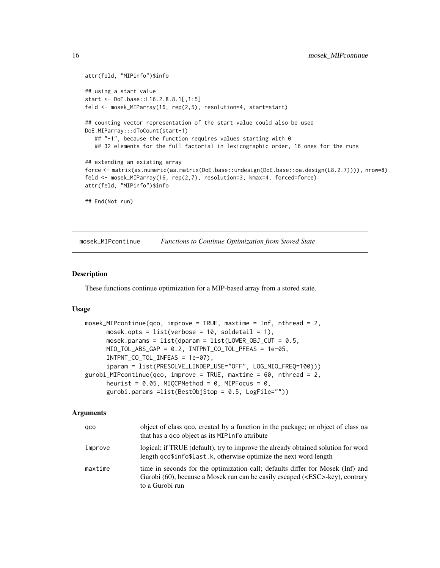```
attr(feld, "MIPinfo")$info
## using a start value
start <- DoE.base::L16.2.8.8.1[,1:5]
feld <- mosek_MIParray(16, rep(2,5), resolution=4, start=start)
## counting vector representation of the start value could also be used
DoE.MIParray:::dToCount(start-1)
  ## "-1", because the function requires values starting with 0
  ## 32 elements for the full factorial in lexicographic order, 16 ones for the runs
## extending an existing array
force <- matrix(as.numeric(as.matrix(DoE.base::undesign(DoE.base::oa.design(L8.2.7)))), nrow=8)
feld <- mosek_MIParray(16, rep(2,7), resolution=3, kmax=4, forced=force)
attr(feld, "MIPinfo")$info
## End(Not run)
```
<span id="page-15-2"></span>mosek\_MIPcontinue *Functions to Continue Optimization from Stored State*

#### <span id="page-15-1"></span>Description

These functions continue optimization for a MIP-based array from a stored state.

#### Usage

```
mosek_MIPcontinue(qco, improve = TRUE, maxtime = Inf, nthread = 2,
     mosek.opts = list(verbose = 10, soldetail = 1),
     mosek.params = list(dparam = list(LOWER_OBJ_CUT = 0.5,MIO_TOL_ABS_GAP = 0.2, INTPNT_CO_TOL_PFEAS = 1e-05,
     INTPNT_CO_TOL_INFEAS = 1e-07),
      iparam = list(PRESOLVE_LINDEP_USE="OFF", LOG_MIO_FREQ=100)))
gurobi_MIPcontinue(qco, improve = TRUE, maxtime = 60, nthread = 2,
     heurist = 0.05, MIQCPMethod = 0, MIPFocus = 0,
     gurobi.params =list(BestObjStop = 0.5, LogFile=""))
```
# Arguments

| qco     | object of class qco, created by a function in the package; or object of class oa<br>that has a gco object as its MIP info attribute                                                       |
|---------|-------------------------------------------------------------------------------------------------------------------------------------------------------------------------------------------|
| improve | logical; if TRUE (default), try to improve the already obtained solution for word<br>length qco\$info\$last.k, otherwise optimize the next word length                                    |
| maxtime | time in seconds for the optimization call; defaults differ for Mosek (Inf) and<br>Gurobi (60), because a Mosek run can be easily escaped ( <esc>-key), contrary<br/>to a Gurobi run</esc> |

<span id="page-15-0"></span>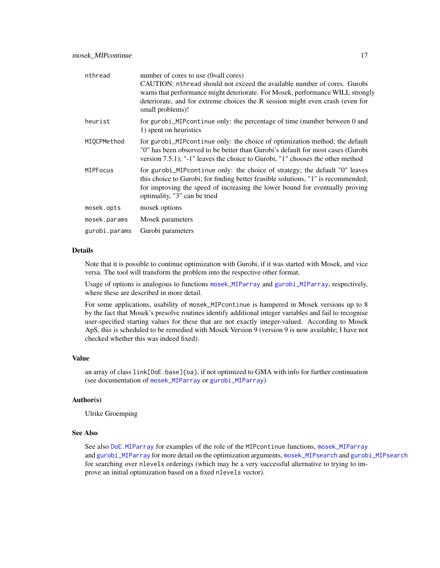<span id="page-16-0"></span>

| nthread         | number of cores to use (0=all cores)<br>CAUTION: nthread should not exceed the available number of cores. Gurobi<br>warns that performance might deteriorate. For Mosek, performance WILL strongly<br>deteriorate, and for extreme choices the R session might even crash (even for<br>small problems)! |
|-----------------|---------------------------------------------------------------------------------------------------------------------------------------------------------------------------------------------------------------------------------------------------------------------------------------------------------|
| heurist         | for gurobi_MIP continue only: the percentage of time (number between 0 and<br>1) spent on heuristics                                                                                                                                                                                                    |
| MIQCPMethod     | for gurobi_MIPcontinue only: the choice of optimization method; the default<br>"0" has been observed to be better than Gurobi's default for most cases (Gurobi<br>version 7.5.1); "-1" leaves the choice to Gurobi, "1" chooses the other method                                                        |
| <b>MIPFocus</b> | for gurobi_MIPcontinue only: the choice of strategy; the default "0" leaves<br>this choice to Gurobi; for finding better feasible solutions, "1" is recommended;<br>for improving the speed of increasing the lower bound for eventually proving<br>optimality, "3" can be tried                        |
| mosek.opts      | mosek options                                                                                                                                                                                                                                                                                           |
| mosek.params    | Mosek parameters                                                                                                                                                                                                                                                                                        |
| gurobi.params   | Gurobi parameters                                                                                                                                                                                                                                                                                       |

# **Details**

Note that it is possible to continue optimization with Gurobi, if it was started with Mosek, and vice versa. The tool will transform the problem into the respective other format.

Usage of options is analogous to functions [mosek\\_MIParray](#page-10-2) and [gurobi\\_MIParray](#page-10-1), respectively, where these are described in more detail.

For some applications, usability of mosek\_MIPcontinue is hampered in Mosek versions up to 8 by the fact that Mosek's presolve routines identify additional integer variables and fail to recognise user-specified starting values for these that are not exactly integer-valued. According to Mosek ApS, this is scheduled to be remedied with Mosek Version 9 (version 9 is now available; I have not checked whether this was indeed fixed).

#### Value

an array of class link[DoE.base]{oa}, if not optimized to GMA with info for further continuation (see documentation of [mosek\\_MIParray](#page-10-2) or [gurobi\\_MIParray](#page-10-1))

# Author(s)

Ulrike Groemping

#### See Also

See also [DoE.MIParray](#page-1-1) for examples of the role of the MIPcontinue functions, [mosek\\_MIParray](#page-10-2) and [gurobi\\_MIParray](#page-10-1) for more detail on the optimization arguments, [mosek\\_MIPsearch](#page-17-2) and [gurobi\\_MIPsearch](#page-17-1) for searching over nlevels orderings (which may be a very successful alternative to trying to improve an initial optimization based on a fixed nlevels vector).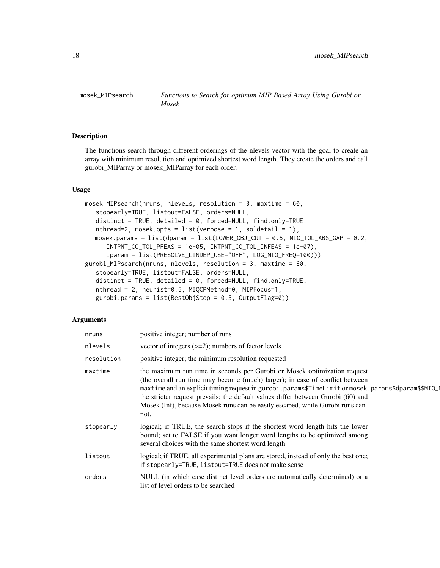<span id="page-17-2"></span><span id="page-17-0"></span>

# <span id="page-17-1"></span>**Description**

The functions search through different orderings of the nlevels vector with the goal to create an array with minimum resolution and optimized shortest word length. They create the orders and call gurobi\_MIParray or mosek\_MIParray for each order.

#### Usage

```
mosek_MIPsearch(nruns, nlevels, resolution = 3, maxtime = 60,
   stopearly=TRUE, listout=FALSE, orders=NULL,
   distinct = TRUE, detailed = 0, forced=NULL, find.only=TRUE,
   nthread=2, mosek.opts = list(verbose = 1, soldetail = 1),
  mosek.params = list(dparam = list(LOWER_OBJ_CUT = 0.5, MIO_TOL_ABS_GAP = 0.2,INTPNT_CO_TOL_PFEAS = 1e-05, INTPNT_CO_TOL_INFEAS = 1e-07),
      iparam = list(PRESOLVE_LINDEP_USE="OFF", LOG_MIO_FREQ=100)))
gurobi_MIPsearch(nruns, nlevels, resolution = 3, maxtime = 60,
   stopearly=TRUE, listout=FALSE, orders=NULL,
   distinct = TRUE, detailed = 0, forced=NULL, find.only=TRUE,
   nthread = 2, heurist=0.5, MIQCPMethod=0, MIPFocus=1,
   gurobi.params = list(BestObjStop = 0.5, OutputFlag=0))
```
# Arguments

| nruns      | positive integer; number of runs                                                                                                                                                                                                                                                                                                                                                                                                            |
|------------|---------------------------------------------------------------------------------------------------------------------------------------------------------------------------------------------------------------------------------------------------------------------------------------------------------------------------------------------------------------------------------------------------------------------------------------------|
| nlevels    | vector of integers $(\geq=2)$ ; numbers of factor levels                                                                                                                                                                                                                                                                                                                                                                                    |
| resolution | positive integer; the minimum resolution requested                                                                                                                                                                                                                                                                                                                                                                                          |
| maxtime    | the maximum run time in seconds per Gurobi or Mosek optimization request<br>(the overall run time may become (much) larger); in case of conflict between<br>maxtime and an explicit timing request in gurobi.params\$TimeLimit or mosek.params\$dparam\$\$MIO_<br>the stricter request prevails; the default values differ between Gurobi (60) and<br>Mosek (Inf), because Mosek runs can be easily escaped, while Gurobi runs can-<br>not. |
| stopearly  | logical; if TRUE, the search stops if the shortest word length hits the lower<br>bound; set to FALSE if you want longer word lengths to be optimized among<br>several choices with the same shortest word length                                                                                                                                                                                                                            |
| listout    | logical; if TRUE, all experimental plans are stored, instead of only the best one;<br>if stopearly=TRUE, listout=TRUE does not make sense                                                                                                                                                                                                                                                                                                   |
| orders     | NULL (in which case distinct level orders are automatically determined) or a<br>list of level orders to be searched                                                                                                                                                                                                                                                                                                                         |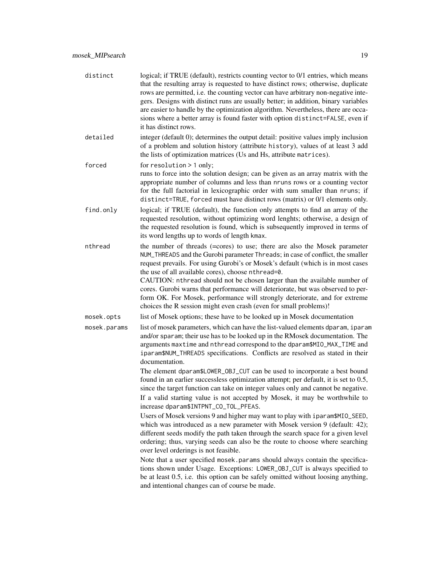| distinct     | logical; if TRUE (default), restricts counting vector to 0/1 entries, which means<br>that the resulting array is requested to have distinct rows; otherwise, duplicate<br>rows are permitted, i.e. the counting vector can have arbitrary non-negative inte-<br>gers. Designs with distinct runs are usually better; in addition, binary variables<br>are easier to handle by the optimization algorithm. Nevertheless, there are occa-<br>sions where a better array is found faster with option distinct=FALSE, even if<br>it has distinct rows.                                                                                                                                                                                                                                                                                                                                                                                                                                                             |
|--------------|----------------------------------------------------------------------------------------------------------------------------------------------------------------------------------------------------------------------------------------------------------------------------------------------------------------------------------------------------------------------------------------------------------------------------------------------------------------------------------------------------------------------------------------------------------------------------------------------------------------------------------------------------------------------------------------------------------------------------------------------------------------------------------------------------------------------------------------------------------------------------------------------------------------------------------------------------------------------------------------------------------------|
| detailed     | integer (default 0); determines the output detail: positive values imply inclusion<br>of a problem and solution history (attribute history), values of at least 3 add<br>the lists of optimization matrices (Us and Hs, attribute matrices).                                                                                                                                                                                                                                                                                                                                                                                                                                                                                                                                                                                                                                                                                                                                                                   |
| forced       | for resolution > 1 only;<br>runs to force into the solution design; can be given as an array matrix with the<br>appropriate number of columns and less than nruns rows or a counting vector<br>for the full factorial in lexicographic order with sum smaller than nruns; if<br>distinct=TRUE, forced must have distinct rows (matrix) or 0/1 elements only.                                                                                                                                                                                                                                                                                                                                                                                                                                                                                                                                                                                                                                                   |
| find.only    | logical; if TRUE (default), the function only attempts to find an array of the<br>requested resolution, without optimizing word lenghts; otherwise, a design of<br>the requested resolution is found, which is subsequently improved in terms of<br>its word lengths up to words of length kmax.                                                                                                                                                                                                                                                                                                                                                                                                                                                                                                                                                                                                                                                                                                               |
| nthread      | the number of threads (=cores) to use; there are also the Mosek parameter<br>NUM_THREADS and the Gurobi parameter Threads; in case of conflict, the smaller<br>request prevails. For using Gurobi's or Mosek's default (which is in most cases<br>the use of all available cores), choose nthread=0.<br>CAUTION: nthread should not be chosen larger than the available number of<br>cores. Gurobi warns that performance will deteriorate, but was observed to per-<br>form OK. For Mosek, performance will strongly deteriorate, and for extreme<br>choices the R session might even crash (even for small problems)!                                                                                                                                                                                                                                                                                                                                                                                        |
| mosek.opts   | list of Mosek options; these have to be looked up in Mosek documentation                                                                                                                                                                                                                                                                                                                                                                                                                                                                                                                                                                                                                                                                                                                                                                                                                                                                                                                                       |
| mosek.params | list of mosek parameters, which can have the list-valued elements dparam, iparam<br>and/or sparam; their use has to be looked up in the RMosek documentation. The<br>arguments maxtime and nthread correspond to the dparam\$MIO_MAX_TIME and<br>iparam\$NUM_THREADS specifications. Conflicts are resolved as stated in their<br>documentation.                                                                                                                                                                                                                                                                                                                                                                                                                                                                                                                                                                                                                                                               |
|              | The element dparam\$LOWER_OBJ_CUT can be used to incorporate a best bound<br>found in an earlier successless optimization attempt; per default, it is set to 0.5,<br>since the target function can take on integer values only and cannot be negative.<br>If a valid starting value is not accepted by Mosek, it may be worthwhile to<br>increase dparam\$INTPNT_CO_TOL_PFEAS.<br>Users of Mosek versions 9 and higher may want to play with iparam\$MIO_SEED,<br>which was introduced as a new parameter with Mosek version 9 (default: 42);<br>different seeds modify the path taken through the search space for a given level<br>ordering; thus, varying seeds can also be the route to choose where searching<br>over level orderings is not feasible.<br>Note that a user specified mosek. params should always contain the specifica-<br>tions shown under Usage. Exceptions: LOWER_OBJ_CUT is always specified to<br>be at least 0.5, i.e. this option can be safely omitted without loosing anything, |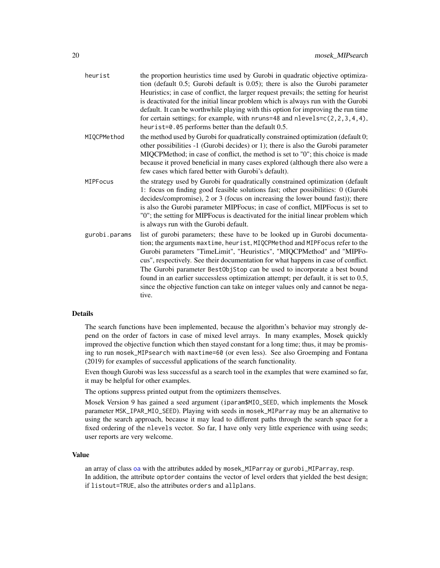<span id="page-19-0"></span>

| heurist       | the proportion heuristics time used by Gurobi in quadratic objective optimiza-<br>tion (default 0.5; Gurobi default is 0.05); there is also the Gurobi parameter<br>Heuristics; in case of conflict, the larger request prevails; the setting for heurist<br>is deactivated for the initial linear problem which is always run with the Gurobi<br>default. It can be worthwhile playing with this option for improving the run time<br>for certain settings; for example, with nruns=48 and nlevels= $c(2, 2, 3, 4, 4)$ ,<br>heurist=0.05 performs better than the default 0.5.           |
|---------------|-------------------------------------------------------------------------------------------------------------------------------------------------------------------------------------------------------------------------------------------------------------------------------------------------------------------------------------------------------------------------------------------------------------------------------------------------------------------------------------------------------------------------------------------------------------------------------------------|
| MIQCPMethod   | the method used by Gurobi for quadratically constrained optimization (default 0;<br>other possibilities -1 (Gurobi decides) or 1); there is also the Gurobi parameter<br>MIQCPMethod; in case of conflict, the method is set to "0"; this choice is made<br>because it proved beneficial in many cases explored (although there also were a<br>few cases which fared better with Gurobi's default).                                                                                                                                                                                       |
| MIPFocus      | the strategy used by Gurobi for quadratically constrained optimization (default<br>1: focus on finding good feasible solutions fast; other possibilities: 0 (Gurobi<br>decides/compromise), 2 or 3 (focus on increasing the lower bound fast)); there<br>is also the Gurobi parameter MIPFocus; in case of conflict, MIPFocus is set to<br>"0"; the setting for MIPFocus is deactivated for the initial linear problem which<br>is always run with the Gurobi default.                                                                                                                    |
| gurobi.params | list of gurobi parameters; these have to be looked up in Gurobi documenta-<br>tion; the arguments maxtime, heurist, MIQCPMethod and MIPFocus refer to the<br>Gurobi parameters "TimeLimit", "Heuristics", "MIQCPMethod" and "MIPFo-<br>cus", respectively. See their documentation for what happens in case of conflict.<br>The Gurobi parameter BestObjStop can be used to incorporate a best bound<br>found in an earlier successless optimization attempt; per default, it is set to 0.5,<br>since the objective function can take on integer values only and cannot be nega-<br>tive. |

#### Details

The search functions have been implemented, because the algorithm's behavior may strongly depend on the order of factors in case of mixed level arrays. In many examples, Mosek quickly improved the objective function which then stayed constant for a long time; thus, it may be promising to run mosek\_MIPsearch with maxtime=60 (or even less). See also Groemping and Fontana (2019) for examples of successful applications of the search functionality.

Even though Gurobi was less successful as a search tool in the examples that were examined so far, it may be helpful for other examples.

The options suppress printed output from the optimizers themselves.

Mosek Version 9 has gained a seed argument (iparam\$MIO\_SEED, which implements the Mosek parameter MSK\_IPAR\_MIO\_SEED). Playing with seeds in mosek\_MIParray may be an alternative to using the search approach, because it may lead to different paths through the search space for a fixed ordering of the nlevels vector. So far, I have only very little experience with using seeds; user reports are very welcome.

#### Value

an array of class [oa](#page-0-0) with the attributes added by mosek\_MIParray or gurobi\_MIParray, resp. In addition, the attribute optorder contains the vector of level orders that yielded the best design; if listout=TRUE, also the attributes orders and allplans.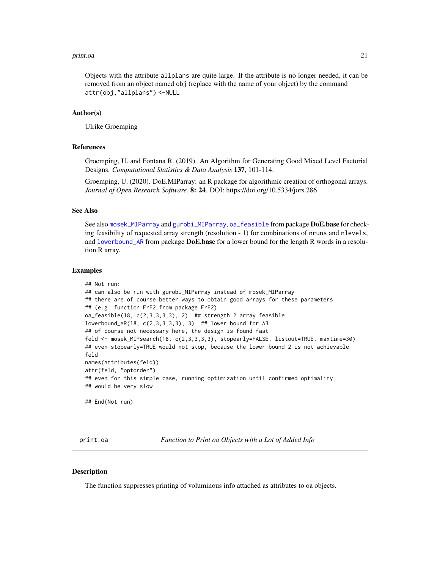#### <span id="page-20-0"></span>print.oa 21

Objects with the attribute allplans are quite large. If the attribute is no longer needed, it can be removed from an object named obj (replace with the name of your object) by the command attr(obj,"allplans") <-NULL

#### Author(s)

Ulrike Groemping

#### References

Groemping, U. and Fontana R. (2019). An Algorithm for Generating Good Mixed Level Factorial Designs. *Computational Statistics & Data Analysis* 137, 101-114.

Groemping, U. (2020). DoE.MIParray: an R package for algorithmic creation of orthogonal arrays. *Journal of Open Research Software*, 8: 24. DOI: https://doi.org/10.5334/jors.286

# See Also

See also [mosek\\_MIParray](#page-10-2) and [gurobi\\_MIParray](#page-10-1), [oa\\_feasible](#page-7-1) from package DoE.base for checking feasibility of requested array strength (resolution - 1) for combinations of nruns and nlevels, and lowerbound  $AR$  from package **DoE.base** for a lower bound for the length R words in a resolution R array.

#### Examples

```
## Not run:
## can also be run with gurobi_MIParray instead of mosek_MIParray
## there are of course better ways to obtain good arrays for these parameters
## (e.g. function FrF2 from package FrF2)
oa_f easible(18, c(2,3,3,3,3), 2) ## strength 2 array feasible
lowerbound_AR(18, c(2,3,3,3,3), 3) ## lower bound for A3
## of course not necessary here, the design is found fast
feld <- mosek_MIPsearch(18, c(2,3,3,3,3), stopearly=FALSE, listout=TRUE, maxtime=30)
## even stopearly=TRUE would not stop, because the lower bound 2 is not achievable
feld
names(attributes(feld))
attr(feld, "optorder")
## even for this simple case, running optimization until confirmed optimality
## would be very slow
## End(Not run)
```
print.oa *Function to Print oa Objects with a Lot of Added Info*

#### Description

The function suppresses printing of voluminous info attached as attributes to oa objects.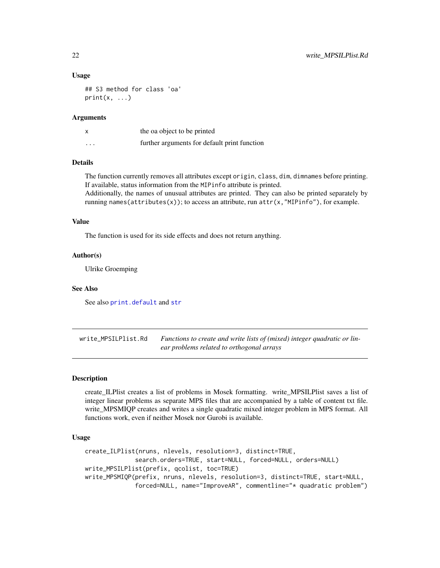#### Usage

```
## S3 method for class 'oa'
print(x, \ldots)
```
# **Arguments**

|          | the oa object to be printed                  |
|----------|----------------------------------------------|
| $\cdots$ | further arguments for default print function |

# Details

The function currently removes all attributes except origin, class, dim, dimnames before printing. If available, status information from the MIPinfo attribute is printed.

Additionally, the names of unusual attributes are printed. They can also be printed separately by running names(attributes(x)); to access an attribute, run  $attr(x, "MIPinfo"),$  for example.

# Value

The function is used for its side effects and does not return anything.

#### Author(s)

Ulrike Groemping

#### See Also

See also [print.default](#page-0-0) and [str](#page-0-0)

write\_MPSILPlist.Rd *Functions to create and write lists of (mixed) integer quadratic or linear problems related to orthogonal arrays*

#### <span id="page-21-1"></span>Description

create\_ILPlist creates a list of problems in Mosek formatting. write\_MPSILPlist saves a list of integer linear problems as separate MPS files that are accompanied by a table of content txt file. write\_MPSMIQP creates and writes a single quadratic mixed integer problem in MPS format. All functions work, even if neither Mosek nor Gurobi is available.

#### Usage

```
create_ILPlist(nruns, nlevels, resolution=3, distinct=TRUE,
              search.orders=TRUE, start=NULL, forced=NULL, orders=NULL)
write_MPSILPlist(prefix, qcolist, toc=TRUE)
write_MPSMIQP(prefix, nruns, nlevels, resolution=3, distinct=TRUE, start=NULL,
              forced=NULL, name="ImproveAR", commentline="* quadratic problem")
```
<span id="page-21-0"></span>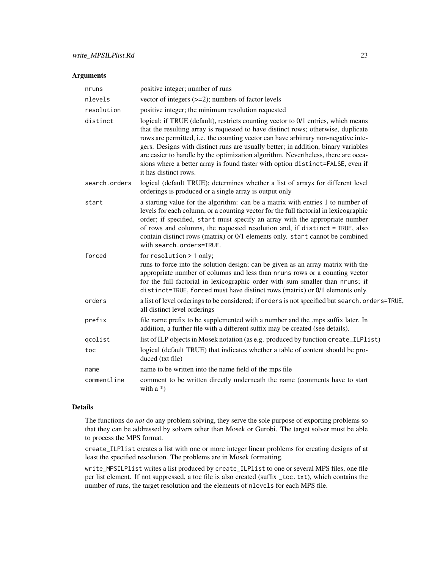# Arguments

| nruns         | positive integer; number of runs                                                                                                                                                                                                                                                                                                                                                                                                                                                                                                                   |
|---------------|----------------------------------------------------------------------------------------------------------------------------------------------------------------------------------------------------------------------------------------------------------------------------------------------------------------------------------------------------------------------------------------------------------------------------------------------------------------------------------------------------------------------------------------------------|
| nlevels       | vector of integers $(\geq=2)$ ; numbers of factor levels                                                                                                                                                                                                                                                                                                                                                                                                                                                                                           |
| resolution    | positive integer; the minimum resolution requested                                                                                                                                                                                                                                                                                                                                                                                                                                                                                                 |
| distinct      | logical; if TRUE (default), restricts counting vector to 0/1 entries, which means<br>that the resulting array is requested to have distinct rows; otherwise, duplicate<br>rows are permitted, i.e. the counting vector can have arbitrary non-negative inte-<br>gers. Designs with distinct runs are usually better; in addition, binary variables<br>are easier to handle by the optimization algorithm. Nevertheless, there are occa-<br>sions where a better array is found faster with option distinct=FALSE, even if<br>it has distinct rows. |
| search.orders | logical (default TRUE); determines whether a list of arrays for different level<br>orderings is produced or a single array is output only                                                                                                                                                                                                                                                                                                                                                                                                          |
| start         | a starting value for the algorithm: can be a matrix with entries 1 to number of<br>levels for each column, or a counting vector for the full factorial in lexicographic<br>order; if specified, start must specify an array with the appropriate number<br>of rows and columns, the requested resolution and, if distinct = TRUE, also<br>contain distinct rows (matrix) or 0/1 elements only. start cannot be combined<br>with search.orders=TRUE.                                                                                                |
| forced        | for resolution > 1 only;<br>runs to force into the solution design; can be given as an array matrix with the<br>appropriate number of columns and less than nruns rows or a counting vector<br>for the full factorial in lexicographic order with sum smaller than nruns; if<br>distinct=TRUE, forced must have distinct rows (matrix) or 0/1 elements only.                                                                                                                                                                                       |
| orders        | a list of level orderings to be considered; if orders is not specified but search. orders=TRUE,<br>all distinct level orderings                                                                                                                                                                                                                                                                                                                                                                                                                    |
| prefix        | file name prefix to be supplemented with a number and the .mps suffix later. In<br>addition, a further file with a different suffix may be created (see details).                                                                                                                                                                                                                                                                                                                                                                                  |
| qcolist       | list of ILP objects in Mosek notation (as e.g. produced by function create_ILPlist)                                                                                                                                                                                                                                                                                                                                                                                                                                                                |
| toc           | logical (default TRUE) that indicates whether a table of content should be pro-<br>duced (txt file)                                                                                                                                                                                                                                                                                                                                                                                                                                                |
| name          | name to be written into the name field of the mps file                                                                                                                                                                                                                                                                                                                                                                                                                                                                                             |
| commentline   | comment to be written directly underneath the name (comments have to start<br>with $a^*$ )                                                                                                                                                                                                                                                                                                                                                                                                                                                         |

# Details

The functions do *not* do any problem solving, they serve the sole purpose of exporting problems so that they can be addressed by solvers other than Mosek or Gurobi. The target solver must be able to process the MPS format.

create\_ILPlist creates a list with one or more integer linear problems for creating designs of at least the specified resolution. The problems are in Mosek formatting.

write\_MPSILPlist writes a list produced by create\_ILPlist to one or several MPS files, one file per list element. If not suppressed, a toc file is also created (suffix \_toc.txt), which contains the number of runs, the target resolution and the elements of nlevels for each MPS file.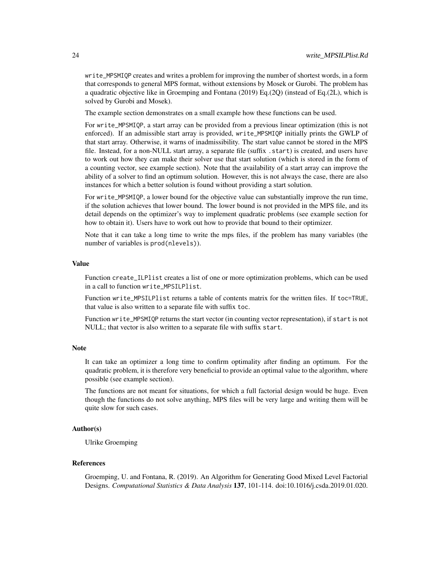write\_MPSMIQP creates and writes a problem for improving the number of shortest words, in a form that corresponds to general MPS format, without extensions by Mosek or Gurobi. The problem has a quadratic objective like in Groemping and Fontana (2019) Eq.(2Q) (instead of Eq.(2L), which is solved by Gurobi and Mosek).

The example section demonstrates on a small example how these functions can be used.

For write\_MPSMIQP, a start array can be provided from a previous linear optimization (this is not enforced). If an admissible start array is provided, write\_MPSMIQP initially prints the GWLP of that start array. Otherwise, it warns of inadmissibility. The start value cannot be stored in the MPS file. Instead, for a non-NULL start array, a separate file (suffix .start) is created, and users have to work out how they can make their solver use that start solution (which is stored in the form of a counting vector, see example section). Note that the availability of a start array can improve the ability of a solver to find an optimum solution. However, this is not always the case, there are also instances for which a better solution is found without providing a start solution.

For write\_MPSMIQP, a lower bound for the objective value can substantially improve the run time, if the solution achieves that lower bound. The lower bound is not provided in the MPS file, and its detail depends on the optimizer's way to implement quadratic problems (see example section for how to obtain it). Users have to work out how to provide that bound to their optimizer.

Note that it can take a long time to write the mps files, if the problem has many variables (the number of variables is prod(nlevels)).

# Value

Function create\_ILPlist creates a list of one or more optimization problems, which can be used in a call to function write\_MPSILPlist.

Function write\_MPSILPlist returns a table of contents matrix for the written files. If toc=TRUE, that value is also written to a separate file with suffix toc.

Function write\_MPSMIQP returns the start vector (in counting vector representation), if start is not NULL; that vector is also written to a separate file with suffix start.

#### Note

It can take an optimizer a long time to confirm optimality after finding an optimum. For the quadratic problem, it is therefore very beneficial to provide an optimal value to the algorithm, where possible (see example section).

The functions are not meant for situations, for which a full factorial design would be huge. Even though the functions do not solve anything, MPS files will be very large and writing them will be quite slow for such cases.

# Author(s)

Ulrike Groemping

#### References

Groemping, U. and Fontana, R. (2019). An Algorithm for Generating Good Mixed Level Factorial Designs. *Computational Statistics & Data Analysis* 137, 101-114. doi:10.1016/j.csda.2019.01.020.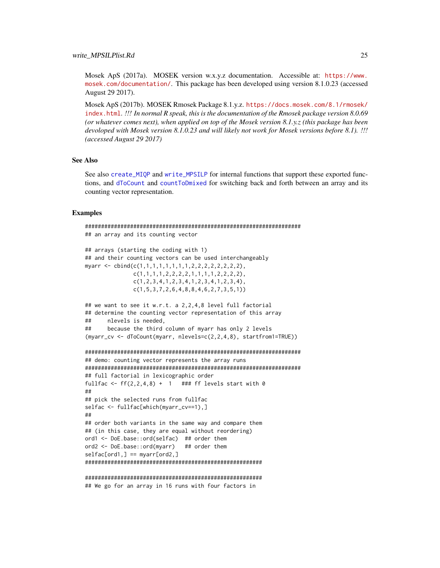<span id="page-24-0"></span>Mosek ApS (2017a). MOSEK version w.x.y.z documentation. Accessible at: [https://www.](https://www.mosek.com/documentation/) [mosek.com/documentation/](https://www.mosek.com/documentation/). This package has been developed using version 8.1.0.23 (accessed August 29 2017).

Mosek ApS (2017b). MOSEK Rmosek Package 8.1.y.z. [https://docs.mosek.com/8.1/rmosek/](https://docs.mosek.com/8.1/rmosek/index.html) [index.html](https://docs.mosek.com/8.1/rmosek/index.html). *!!! In normal R speak, this is the documentation of the Rmosek package version 8.0.69 (or whatever comes next), when applied on top of the Mosek version 8.1.y.z (this package has been devoloped with Mosek version 8.1.0.23 and will likely not work for Mosek versions before 8.1). !!! (accessed August 29 2017)*

#### See Also

See also [create\\_MIQP](#page-0-0) and [write\\_MPSILP](#page-0-0) for internal functions that support these exported functions, and [dToCount](#page-5-1) and [countToDmixed](#page-5-1) for switching back and forth between an array and its counting vector representation.

#### Examples

```
###################################################################
## an array and its counting vector
## arrays (starting the coding with 1)
## and their counting vectors can be used interchangeably
myarr <- cbind(c(1,1,1,1,1,1,1,1,2,2,2,2,2,2,2,2),
              c(1,1,1,1,2,2,2,2,1,1,1,1,2,2,2,2),
              c(1,2,3,4,1,2,3,4,1,2,3,4,1,2,3,4),
              c(1,5,3,7,2,6,4,8,8,4,6,2,7,3,5,1))
## we want to see it w.r.t. a 2,2,4,8 level full factorial
## determine the counting vector representation of this array
## nlevels is needed,
## because the third column of myarr has only 2 levels
(myarr_cv <- dToCount(myarr, nlevels=c(2,2,4,8), startfrom1=TRUE))
###################################################################
## demo: counting vector represents the array runs
###################################################################
## full factorial in lexicographic order
fullfac \leq ff(2,2,4,8) + 1 ### ff levels start with 0
##
## pick the selected runs from fullfac
selfac <- fullfac[which(myarr_cv==1),]
##
## order both variants in the same way and compare them
## (in this case, they are equal without reordering)
ord1 <- DoE.base::ord(selfac) ## order them
ord2 <- DoE.base::ord(myarr) ## order them
selfac[ord1,] == myarr[ord2,]#######################################################
```
####################################################### ## We go for an array in 16 runs with four factors in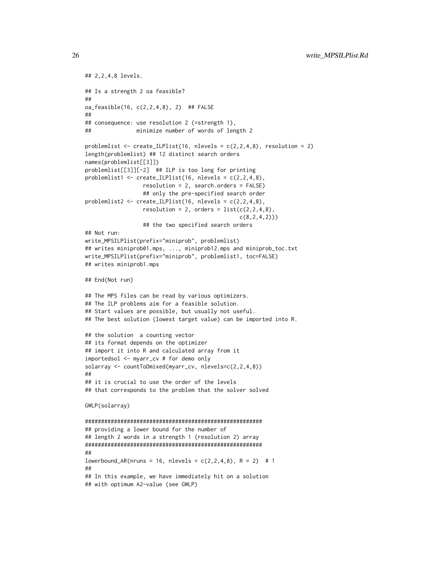```
## 2,2,4,8 levels.
## Is a strength 2 oa feasible?
##
oa_feasible(16, c(2,2,4,8), 2) ## FALSE
##
## consequence: use resolution 2 (=strength 1),
## minimize number of words of length 2
problemlist \leq create_ILPlist(16, nlevels = c(2,2,4,8), resolution = 2)
length(problemlist) ## 12 distinct search orders
names(problemlist[[3]])
problemlist[[3]][-2] ## ILP is too long for printing
problemlist1 <- create_ILPlist(16, nlevels = c(2,2,4,8),
                  resolution = 2, search.orders = FALSE)
                  ## only the pre-specified search order
problemlist2 <- create_ILPlist(16, nlevels = c(2,2,4,8),
                  resolution = 2, orders = list(c(2, 2, 4, 8)),
                                                c(8, 2, 4, 2))## the two specified search orders
## Not run:
write_MPSILPlist(prefix="miniprob", problemlist)
## writes miniprob01.mps, ..., miniprob12.mps and miniprob_toc.txt
write_MPSILPlist(prefix="miniprob", problemlist1, toc=FALSE)
## writes miniprob1.mps
## End(Not run)
## The MPS files can be read by various optimizers.
## The ILP problems aim for a feasible solution.
## Start values are possible, but usually not useful.
## The best solution (lowest target value) can be imported into R.
## the solution a counting vector
## its format depends on the optimizer
## import it into R and calculated array from it
importedsol <- myarr_cv # for demo only
solarray <- countToDmixed(myarr_cv, nlevels=c(2,2,4,8))
##
## it is crucial to use the order of the levels
## that corresponds to the problem that the solver solved
GWLP(solarray)
#######################################################
## providing a lower bound for the number of
## length 2 words in a strength 1 (resolution 2) array
#######################################################
##
lowerbound_AR(nruns = 16, nlevels = c(2, 2, 4, 8), R = 2) # 1##
## In this example, we have immediately hit on a solution
## with optimum A2-value (see GWLP)
```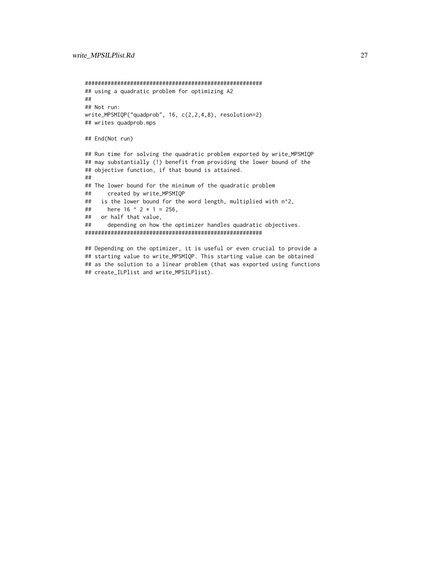```
#######################################################
## using a quadratic problem for optimizing A2
##
## Not run:
write_MPSMIQP("quadprob", 16, c(2,2,4,8), resolution=2)
## writes quadprob.mps
## End(Not run)
## Run time for solving the quadratic problem exported by write_MPSMIQP
## may substantially (!) benefit from providing the lower bound of the
## objective function, if that bound is attained.
##
## The lower bound for the minimum of the quadratic problem
## created by write_MPSMIQP
## is the lower bound for the word length, multiplied with n^2,
## here 16 \text{ }^{\circ} 2 \text{ } * 1 = 256,
## or half that value,
## depending on how the optimizer handles quadratic objectives.
#######################################################
## Depending on the optimizer, it is useful or even crucial to provide a
```

```
## starting value to write_MPSMIQP. This starting value can be obtained
## as the solution to a linear problem (that was exported using functions
## create_ILPlist and write_MPSILPlist).
```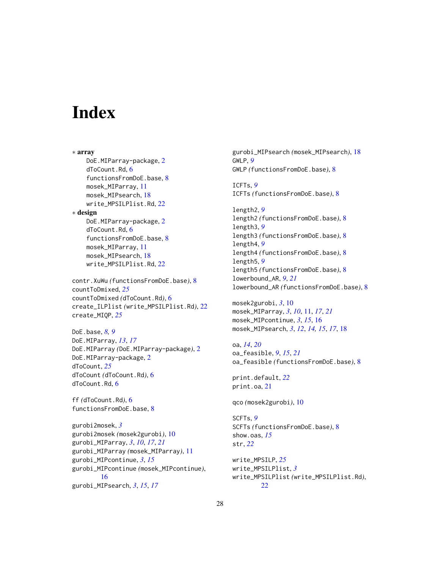# <span id="page-27-0"></span>**Index**

∗ array DoE.MIParray-package, [2](#page-1-0) dToCount.Rd, [6](#page-5-0) functionsFromDoE.base, [8](#page-7-0) mosek\_MIParray, [11](#page-10-0) mosek\_MIPsearch, [18](#page-17-0) write\_MPSILPlist.Rd, [22](#page-21-0) ∗ design DoE.MIParray-package, [2](#page-1-0) dToCount.Rd, [6](#page-5-0) functionsFromDoE.base, [8](#page-7-0) mosek\_MIParray, [11](#page-10-0) mosek\_MIPsearch, [18](#page-17-0) write\_MPSILPlist.Rd, [22](#page-21-0) contr.XuWu *(*functionsFromDoE.base*)*, [8](#page-7-0) countToDmixed, *[25](#page-24-0)* countToDmixed *(*dToCount.Rd*)*, [6](#page-5-0)

create\_ILPlist *(*write\_MPSILPlist.Rd*)*, [22](#page-21-0) create\_MIQP, *[25](#page-24-0)* DoE.base, *[8,](#page-7-0) [9](#page-8-0)*

DoE.MIParray, *[13](#page-12-0)*, *[17](#page-16-0)* DoE.MIParray *(*DoE.MIParray-package*)*, [2](#page-1-0) DoE.MIParray-package, [2](#page-1-0) dToCount, *[25](#page-24-0)* dToCount *(*dToCount.Rd*)*, [6](#page-5-0) dToCount.Rd, [6](#page-5-0)

ff *(*dToCount.Rd*)*, [6](#page-5-0) functionsFromDoE.base, [8](#page-7-0)

gurobi2mosek, *[3](#page-2-0)* gurobi2mosek *(*mosek2gurobi*)*, [10](#page-9-0) gurobi\_MIParray, *[3](#page-2-0)*, *[10](#page-9-0)*, *[17](#page-16-0)*, *[21](#page-20-0)* gurobi\_MIParray *(*mosek\_MIParray*)*, [11](#page-10-0) gurobi\_MIPcontinue, *[3](#page-2-0)*, *[15](#page-14-0)* gurobi\_MIPcontinue *(*mosek\_MIPcontinue*)*, [16](#page-15-0) gurobi\_MIPsearch, *[3](#page-2-0)*, *[15](#page-14-0)*, *[17](#page-16-0)*

gurobi\_MIPsearch *(*mosek\_MIPsearch*)*, [18](#page-17-0) GWLP, *[9](#page-8-0)* GWLP *(*functionsFromDoE.base*)*, [8](#page-7-0)

ICFTs, *[9](#page-8-0)* ICFTs *(*functionsFromDoE.base*)*, [8](#page-7-0)

length2, *[9](#page-8-0)* length2 *(*functionsFromDoE.base*)*, [8](#page-7-0) length3, *[9](#page-8-0)* length3 *(*functionsFromDoE.base*)*, [8](#page-7-0) length4, *[9](#page-8-0)* length4 *(*functionsFromDoE.base*)*, [8](#page-7-0) length5, *[9](#page-8-0)* length5 *(*functionsFromDoE.base*)*, [8](#page-7-0) lowerbound\_AR, *[9](#page-8-0)*, *[21](#page-20-0)* lowerbound\_AR *(*functionsFromDoE.base*)*, [8](#page-7-0)

mosek2gurobi, *[3](#page-2-0)*, [10](#page-9-0) mosek\_MIParray, *[3](#page-2-0)*, *[10](#page-9-0)*, [11,](#page-10-0) *[17](#page-16-0)*, *[21](#page-20-0)* mosek\_MIPcontinue, *[3](#page-2-0)*, *[15](#page-14-0)*, [16](#page-15-0) mosek\_MIPsearch, *[3](#page-2-0)*, *[12](#page-11-0)*, *[14,](#page-13-0) [15](#page-14-0)*, *[17](#page-16-0)*, [18](#page-17-0)

oa, *[14](#page-13-0)*, *[20](#page-19-0)* oa\_feasible, *[9](#page-8-0)*, *[15](#page-14-0)*, *[21](#page-20-0)* oa\_feasible *(*functionsFromDoE.base*)*, [8](#page-7-0)

print.default, *[22](#page-21-0)* print.oa, [21](#page-20-0)

qco *(*mosek2gurobi*)*, [10](#page-9-0)

SCFTs, *[9](#page-8-0)* SCFTs *(*functionsFromDoE.base*)*, [8](#page-7-0) show.oas, *[15](#page-14-0)* str, *[22](#page-21-0)*

write\_MPSILP, *[25](#page-24-0)* write\_MPSILPlist, *[3](#page-2-0)* write\_MPSILPlist *(*write\_MPSILPlist.Rd*)*, [22](#page-21-0)